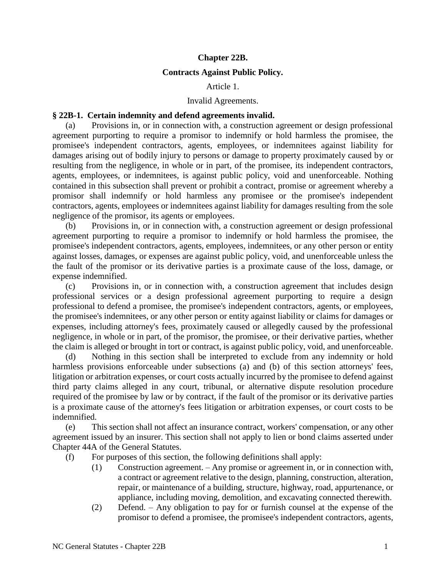# **Chapter 22B.**

## **Contracts Against Public Policy.**

## Article 1.

# Invalid Agreements.

# **§ 22B-1. Certain indemnity and defend agreements invalid.**

(a) Provisions in, or in connection with, a construction agreement or design professional agreement purporting to require a promisor to indemnify or hold harmless the promisee, the promisee's independent contractors, agents, employees, or indemnitees against liability for damages arising out of bodily injury to persons or damage to property proximately caused by or resulting from the negligence, in whole or in part, of the promisee, its independent contractors, agents, employees, or indemnitees, is against public policy, void and unenforceable. Nothing contained in this subsection shall prevent or prohibit a contract, promise or agreement whereby a promisor shall indemnify or hold harmless any promisee or the promisee's independent contractors, agents, employees or indemnitees against liability for damages resulting from the sole negligence of the promisor, its agents or employees.

(b) Provisions in, or in connection with, a construction agreement or design professional agreement purporting to require a promisor to indemnify or hold harmless the promisee, the promisee's independent contractors, agents, employees, indemnitees, or any other person or entity against losses, damages, or expenses are against public policy, void, and unenforceable unless the the fault of the promisor or its derivative parties is a proximate cause of the loss, damage, or expense indemnified.

(c) Provisions in, or in connection with, a construction agreement that includes design professional services or a design professional agreement purporting to require a design professional to defend a promisee, the promisee's independent contractors, agents, or employees, the promisee's indemnitees, or any other person or entity against liability or claims for damages or expenses, including attorney's fees, proximately caused or allegedly caused by the professional negligence, in whole or in part, of the promisor, the promisee, or their derivative parties, whether the claim is alleged or brought in tort or contract, is against public policy, void, and unenforceable.

(d) Nothing in this section shall be interpreted to exclude from any indemnity or hold harmless provisions enforceable under subsections (a) and (b) of this section attorneys' fees, litigation or arbitration expenses, or court costs actually incurred by the promisee to defend against third party claims alleged in any court, tribunal, or alternative dispute resolution procedure required of the promisee by law or by contract, if the fault of the promisor or its derivative parties is a proximate cause of the attorney's fees litigation or arbitration expenses, or court costs to be indemnified.

(e) This section shall not affect an insurance contract, workers' compensation, or any other agreement issued by an insurer. This section shall not apply to lien or bond claims asserted under Chapter 44A of the General Statutes.

(f) For purposes of this section, the following definitions shall apply:

- (1) Construction agreement. Any promise or agreement in, or in connection with, a contract or agreement relative to the design, planning, construction, alteration, repair, or maintenance of a building, structure, highway, road, appurtenance, or appliance, including moving, demolition, and excavating connected therewith.
- (2) Defend. Any obligation to pay for or furnish counsel at the expense of the promisor to defend a promisee, the promisee's independent contractors, agents,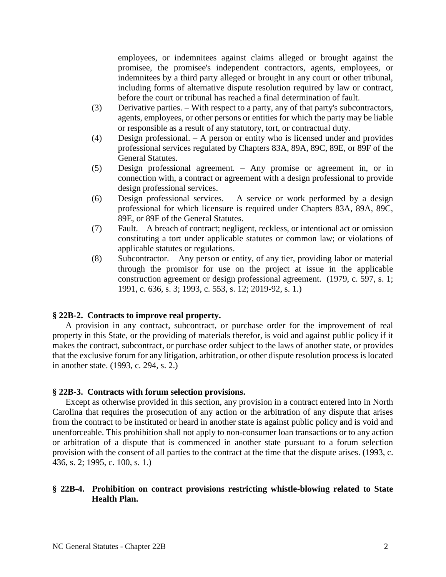employees, or indemnitees against claims alleged or brought against the promisee, the promisee's independent contractors, agents, employees, or indemnitees by a third party alleged or brought in any court or other tribunal, including forms of alternative dispute resolution required by law or contract, before the court or tribunal has reached a final determination of fault.

- (3) Derivative parties. With respect to a party, any of that party's subcontractors, agents, employees, or other persons or entities for which the party may be liable or responsible as a result of any statutory, tort, or contractual duty.
- (4) Design professional. A person or entity who is licensed under and provides professional services regulated by Chapters 83A, 89A, 89C, 89E, or 89F of the General Statutes.
- (5) Design professional agreement. Any promise or agreement in, or in connection with, a contract or agreement with a design professional to provide design professional services.
- (6) Design professional services. A service or work performed by a design professional for which licensure is required under Chapters 83A, 89A, 89C, 89E, or 89F of the General Statutes.
- (7) Fault. A breach of contract; negligent, reckless, or intentional act or omission constituting a tort under applicable statutes or common law; or violations of applicable statutes or regulations.
- (8) Subcontractor. Any person or entity, of any tier, providing labor or material through the promisor for use on the project at issue in the applicable construction agreement or design professional agreement. (1979, c. 597, s. 1; 1991, c. 636, s. 3; 1993, c. 553, s. 12; 2019-92, s. 1.)

#### **§ 22B-2. Contracts to improve real property.**

A provision in any contract, subcontract, or purchase order for the improvement of real property in this State, or the providing of materials therefor, is void and against public policy if it makes the contract, subcontract, or purchase order subject to the laws of another state, or provides that the exclusive forum for any litigation, arbitration, or other dispute resolution process is located in another state. (1993, c. 294, s. 2.)

#### **§ 22B-3. Contracts with forum selection provisions.**

Except as otherwise provided in this section, any provision in a contract entered into in North Carolina that requires the prosecution of any action or the arbitration of any dispute that arises from the contract to be instituted or heard in another state is against public policy and is void and unenforceable. This prohibition shall not apply to non-consumer loan transactions or to any action or arbitration of a dispute that is commenced in another state pursuant to a forum selection provision with the consent of all parties to the contract at the time that the dispute arises. (1993, c. 436, s. 2; 1995, c. 100, s. 1.)

# **§ 22B-4. Prohibition on contract provisions restricting whistle-blowing related to State Health Plan.**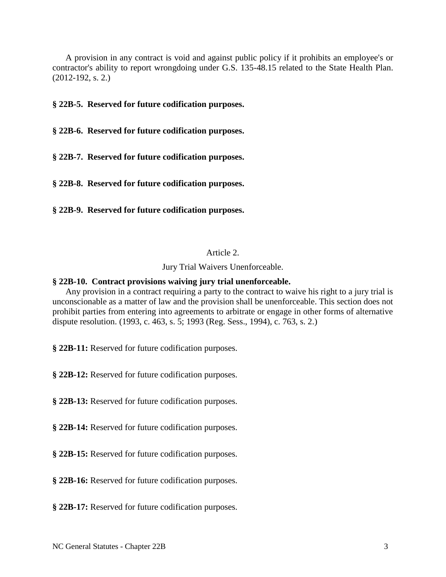A provision in any contract is void and against public policy if it prohibits an employee's or contractor's ability to report wrongdoing under G.S. 135-48.15 related to the State Health Plan. (2012-192, s. 2.)

**§ 22B-5. Reserved for future codification purposes.**

**§ 22B-6. Reserved for future codification purposes.**

**§ 22B-7. Reserved for future codification purposes.**

**§ 22B-8. Reserved for future codification purposes.**

**§ 22B-9. Reserved for future codification purposes.**

## Article 2.

Jury Trial Waivers Unenforceable.

# **§ 22B-10. Contract provisions waiving jury trial unenforceable.**

Any provision in a contract requiring a party to the contract to waive his right to a jury trial is unconscionable as a matter of law and the provision shall be unenforceable. This section does not prohibit parties from entering into agreements to arbitrate or engage in other forms of alternative dispute resolution. (1993, c. 463, s. 5; 1993 (Reg. Sess., 1994), c. 763, s. 2.)

**§ 22B-11:** Reserved for future codification purposes.

**§ 22B-12:** Reserved for future codification purposes.

**§ 22B-13:** Reserved for future codification purposes.

**§ 22B-14:** Reserved for future codification purposes.

**§ 22B-15:** Reserved for future codification purposes.

**§ 22B-16:** Reserved for future codification purposes.

**§ 22B-17:** Reserved for future codification purposes.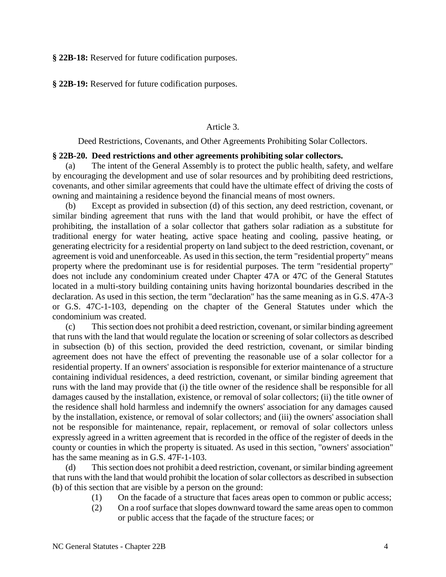**§ 22B-18:** Reserved for future codification purposes.

**§ 22B-19:** Reserved for future codification purposes.

# Article 3.

Deed Restrictions, Covenants, and Other Agreements Prohibiting Solar Collectors.

## **§ 22B-20. Deed restrictions and other agreements prohibiting solar collectors.**

(a) The intent of the General Assembly is to protect the public health, safety, and welfare by encouraging the development and use of solar resources and by prohibiting deed restrictions, covenants, and other similar agreements that could have the ultimate effect of driving the costs of owning and maintaining a residence beyond the financial means of most owners.

(b) Except as provided in subsection (d) of this section, any deed restriction, covenant, or similar binding agreement that runs with the land that would prohibit, or have the effect of prohibiting, the installation of a solar collector that gathers solar radiation as a substitute for traditional energy for water heating, active space heating and cooling, passive heating, or generating electricity for a residential property on land subject to the deed restriction, covenant, or agreement is void and unenforceable. As used in this section, the term "residential property" means property where the predominant use is for residential purposes. The term "residential property" does not include any condominium created under Chapter 47A or 47C of the General Statutes located in a multi-story building containing units having horizontal boundaries described in the declaration. As used in this section, the term "declaration" has the same meaning as in G.S. 47A-3 or G.S. 47C-1-103, depending on the chapter of the General Statutes under which the condominium was created.

(c) This section does not prohibit a deed restriction, covenant, or similar binding agreement that runs with the land that would regulate the location or screening of solar collectors as described in subsection (b) of this section, provided the deed restriction, covenant, or similar binding agreement does not have the effect of preventing the reasonable use of a solar collector for a residential property. If an owners' association is responsible for exterior maintenance of a structure containing individual residences, a deed restriction, covenant, or similar binding agreement that runs with the land may provide that (i) the title owner of the residence shall be responsible for all damages caused by the installation, existence, or removal of solar collectors; (ii) the title owner of the residence shall hold harmless and indemnify the owners' association for any damages caused by the installation, existence, or removal of solar collectors; and (iii) the owners' association shall not be responsible for maintenance, repair, replacement, or removal of solar collectors unless expressly agreed in a written agreement that is recorded in the office of the register of deeds in the county or counties in which the property is situated. As used in this section, "owners' association" has the same meaning as in G.S. 47F-1-103.

(d) This section does not prohibit a deed restriction, covenant, or similar binding agreement that runs with the land that would prohibit the location of solar collectors as described in subsection (b) of this section that are visible by a person on the ground:

- (1) On the facade of a structure that faces areas open to common or public access;
- (2) On a roof surface that slopes downward toward the same areas open to common or public access that the façade of the structure faces; or